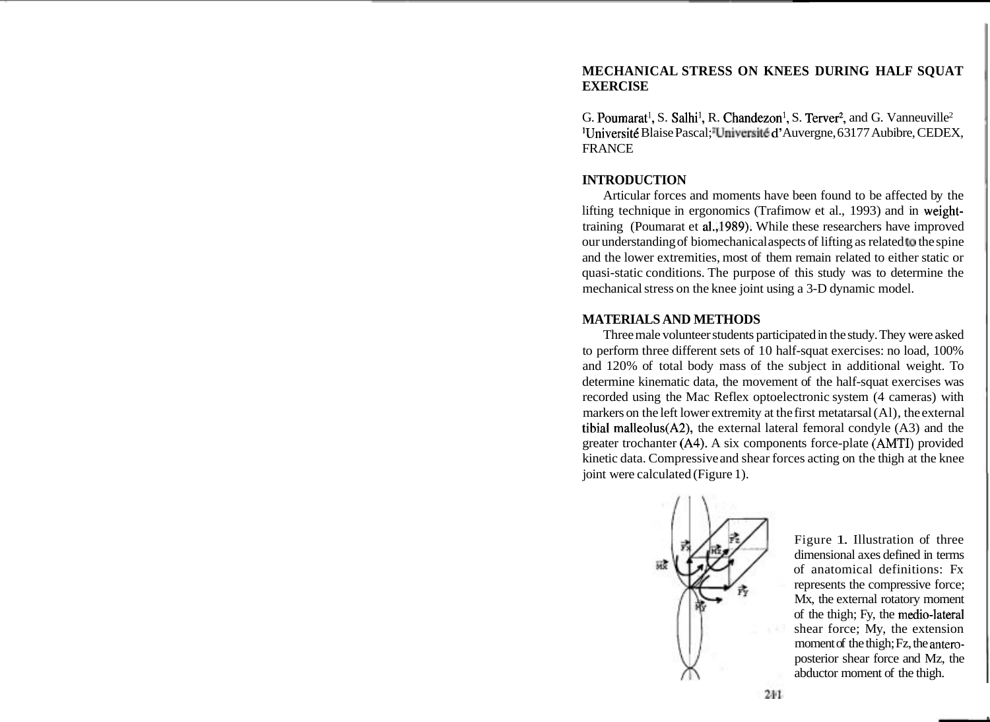# **MECHANICAL STRESS ON KNEES DURING HALF SQUAT EXERCISE**

G. Poumarat<sup>1</sup>, S. Salhi<sup>1</sup>, R. Chandezon<sup>1</sup>, S. Terver<sup>2</sup>, and G. Vanneuville<sup>2</sup> <sup>1</sup>Université Blaise Pascal; "Université d'Auvergne, 63177 Aubibre, CEDEX, FRANCE

# **INTRODUCTION**

Articular forces and moments have been found to be affected by the lifting technique in ergonomics (Trafimow et al., 1993) and in weighttraining (Poumarat et al.,1989). While these researchers have improved our understanding of biomechanical aspects of lifting as related to the spine and the lower extremities, most of them remain related to either static or quasi-static conditions. The purpose of this study was to determine the mechanical stress on the knee joint using a 3-D dynamic model.

#### **MATERIALS AND METHODS**

Three male volunteer students participated in the study. They were asked to perform three different sets of 10 half-squat exercises: no load, 100% and 120% of total body mass of the subject in additional weight. To determine kinematic data, the movement of the half-squat exercises was recorded using the Mac Reflex optoelectronic system (4 cameras) with markers on the left lower extremity at the first metatarsal (Al), the external tibia1 malleolus(A2), the external lateral femoral condyle (A3) and the greater trochanter (A4). A six components force-plate **(AMTI)** provided kinetic data. Compressive and shear forces acting on the thigh at the knee joint were calculated (Figure 1).



Figure 1. Illustration of three dimensional axes defined in terms of anatomical definitions: Fx represents the compressive force; Mx, the external rotatory moment of the thigh; Fy, the medio-lateral shear force; My, the extension moment of the thigh; Fz, the **antero**posterior shear force and Mz, the abductor moment of the thigh.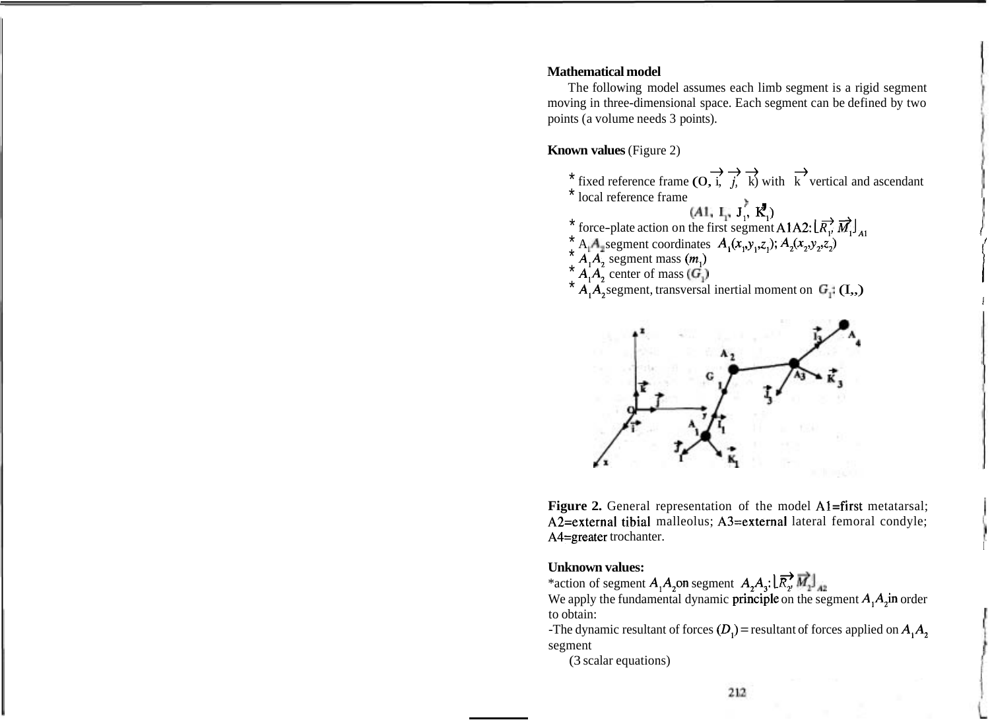#### **Mathematical model**

The following model assumes each limb segment is a rigid segment moving in three-dimensional space. Each segment can be defined by two points (a volume needs 3 points).

# **Known values** (Figure 2)

- \* fixed reference frame (O, i, j, k) with k vertical and ascendant \* local reference frame \* local reference frame (O, i, f, k) with<br>(A1,  $\mathbf{I}_1$ ,  $\mathbf{J}_1^*$ ,  $\mathbf{K}_1^2$ )
	-
- \* force-plate action on the first segment A1A2:  $\left[\overline{R_1}^2 \ \overline{M_1}\right]_{A1}$ <br> $\stackrel{*}{\leq}$  A<sub>1</sub>A<sub><sub>1</sub> segment coordinates  $A_1(x_1, y_1, z_1); A_2(x_2, y_2, z_2)$ </sub>
- 
- $\overline{A}_1 A_2$  segment mass  $(m_1)$
- $A_1A_2$  center of mass  $(G_1)$
- $A, A$ , segment, transversal inertial moment on  $G_+(I_{\cdot},)$



**Figure 2.** General representation of the model A1=first metatarsal; A2=external tibial malleolus; A3=external lateral femoral condyle; A4=greater trochanter.

**Unknown values:** + \*action of segment AlA20n segment A,A,: *LR,* <;1,],,

We apply the fundamental dynamic principle on the segment  $A_1A_2$  in order to obtain:

-The dynamic resultant of forces  $(D_1)$  = resultant of forces applied on  $A_1A_2$ segment

(3 scalar equations)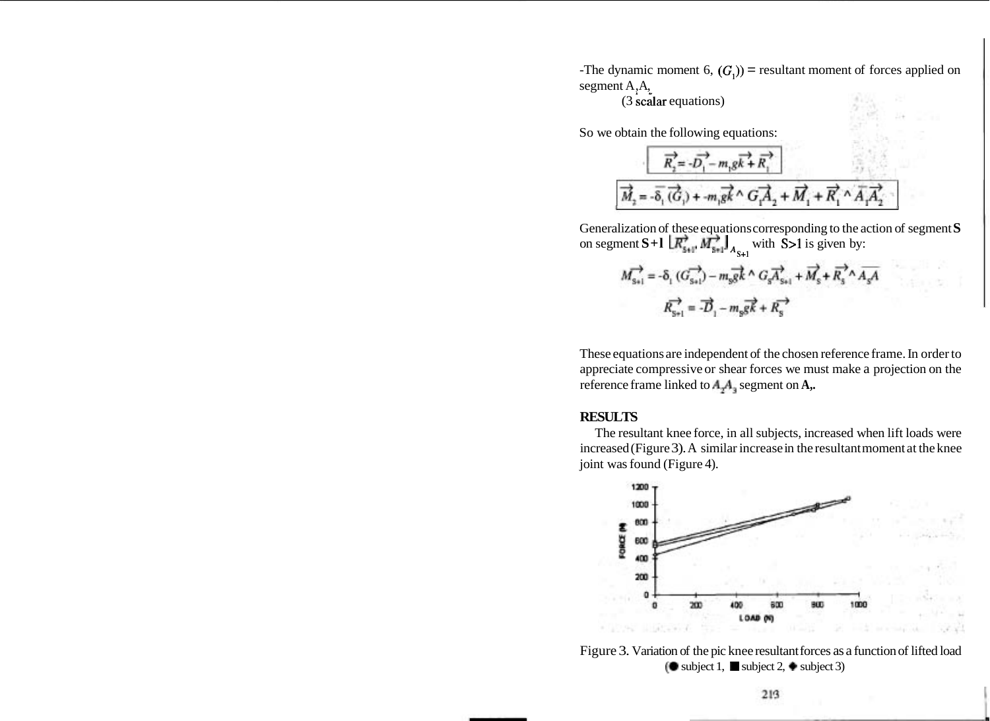-The dynamic moment 6,  $(G_1)$ ) = resultant moment of forces applied on segment A,A,

(3 scalar equations)

So we obtain the following equations:

$$
\overrightarrow{R_2} = -\overrightarrow{D_1} - m_1 g \overrightarrow{k} + \overrightarrow{R_1}
$$
\n
$$
\overrightarrow{M_2} = -\overrightarrow{\delta_1} (\overrightarrow{G_1}) + -m_1 g \overrightarrow{k} \wedge \overrightarrow{G_1 A_2} + \overrightarrow{M_1} + \overrightarrow{R_1} \wedge \overrightarrow{A_1 A_2}
$$

Generalization of these equations corresponding to the action of segment **S** on segment **S**+1  $\left[\overrightarrow{R_{s+1}}\right]_{A_{s+1}}$  with **S**>1 is given by:

$$
\begin{split} M_{\rm s+l}^{\longrightarrow} = -\delta_{\rm i} \; (G_{\rm s+l}^{\longrightarrow}) - m_{\rm s} \overrightarrow{g k}^{\, \prime} \wedge G_{\rm s} \overrightarrow{A_{\rm s+l}} + \overrightarrow{M_{\rm s}} + \overrightarrow{R_{\rm s}}^{\, \prime} \wedge \overrightarrow{A_{\rm s} A} \\ R_{\rm s+l}^{\longrightarrow} = -\overrightarrow{D}_{\rm i} - m_{\rm s} \overrightarrow{g k} + R_{\rm s}^{\longrightarrow} \end{split}
$$

These equations are independent of the chosen reference frame. In order to appreciate compressive or shear forces we must make a projection on the reference frame linked to  $A_4A_3$  segment on A,.

#### **RESULTS**

The resultant knee force, in all subjects, increased when lift loads were increased (Figure 3). A similar increase in the resultant moment at the knee joint was found (Figure 4).



Figure 3. Variation of the pic knee resultant forces as a function of lifted load ( $\bullet$  subject 1,  $\blacksquare$  subject 2,  $\bullet$  subject 3)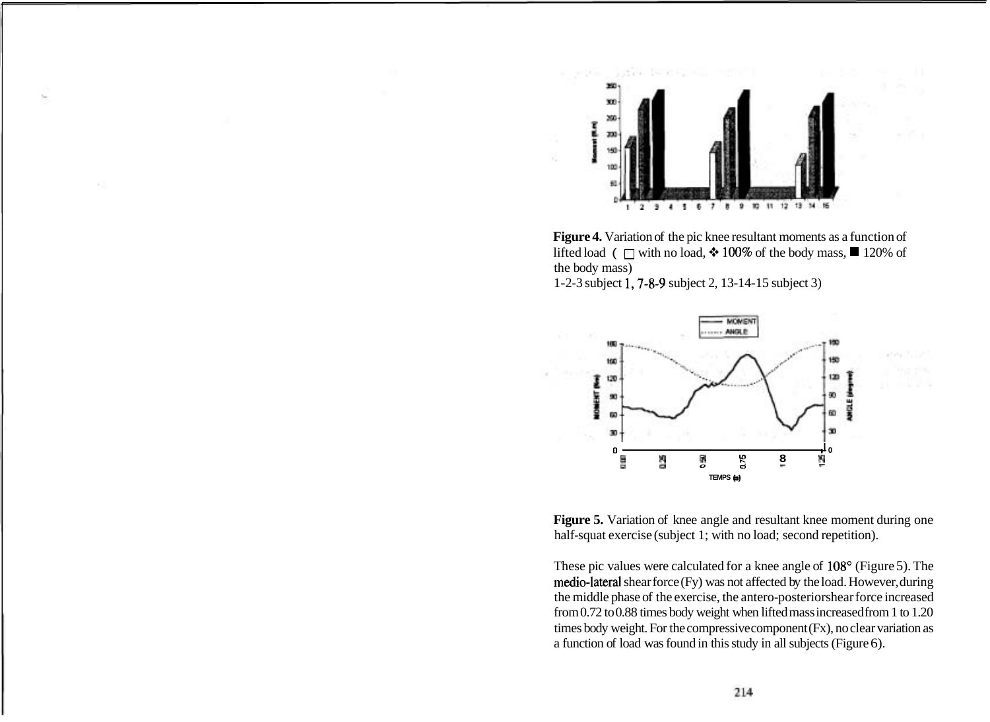

**Figure 4.** Variation of the pic knee resultant moments as a function of lifted load (  $\Box$  with no load,  $\div$  100% of the body mass,  $\Box$  120% of the body mass)

1-2-3 subject 1,7-8-9 subject 2, 13-14-15 subject 3)



Figure 5. Variation of knee angle and resultant knee moment during one half-squat exercise (subject 1; with no load; second repetition).

These pic values were calculated for a knee angle of 108° (Figure 5). The medio-lateral shear force (Fy) was not affected by the load. However, during the middle phase of the exercise, the antero-posterior shear force increased from 0.72 to 0.88 times body weight when lifted mass increased from 1 to 1.20 times body weight. For the compressive component (Fx), no clear variation as a function of load was found in this study in all subjects (Figure 6).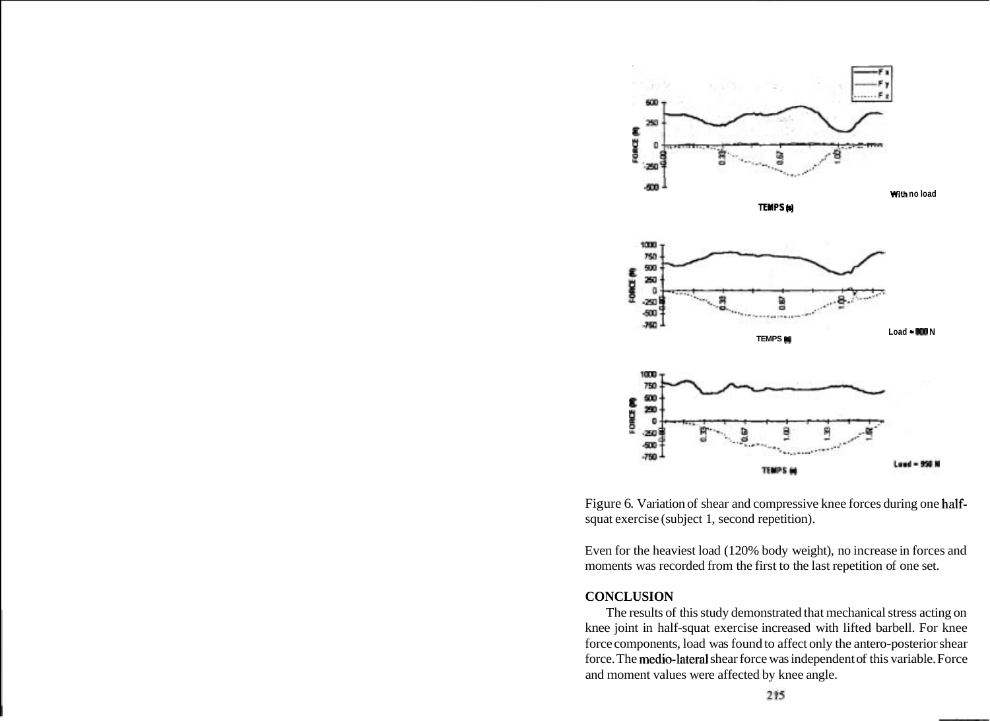

Figure 6. Variation of shear and compressive knee forces during one halfsquat exercise (subject 1, second repetition).

Even for the heaviest load (120% body weight), no increase in forces and moments was recorded from the first to the last repetition of one set.

### **CONCLUSION**

The results of this study demonstrated that mechanical stress acting on knee joint in half-squat exercise increased with lifted barbell. For knee force components, load was found to affect only the antero-posterior shear force. The medio-lateral shear force was independent of this variable. Force and moment values were affected by knee angle.